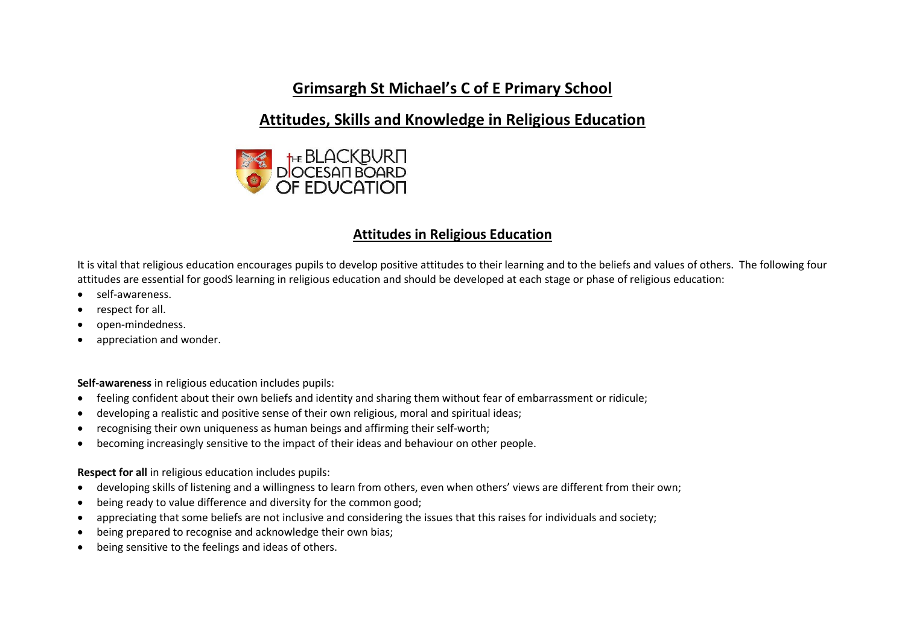## **Grimsargh St Michael's C of E Primary School**

## **Attitudes, Skills and Knowledge in Religious Education**



#### **Attitudes in Religious Education**

It is vital that religious education encourages pupils to develop positive attitudes to their learning and to the beliefs and values of others. The following four attitudes are essential for goodS learning in religious education and should be developed at each stage or phase of religious education:

- self-awareness.
- respect for all.
- open-mindedness.
- appreciation and wonder.

**Self-awareness** in religious education includes pupils:

- feeling confident about their own beliefs and identity and sharing them without fear of embarrassment or ridicule;
- developing a realistic and positive sense of their own religious, moral and spiritual ideas;
- recognising their own uniqueness as human beings and affirming their self-worth;
- becoming increasingly sensitive to the impact of their ideas and behaviour on other people.

**Respect for all** in religious education includes pupils:

- developing skills of listening and a willingness to learn from others, even when others' views are different from their own;
- being ready to value difference and diversity for the common good;
- appreciating that some beliefs are not inclusive and considering the issues that this raises for individuals and society;
- being prepared to recognise and acknowledge their own bias;
- being sensitive to the feelings and ideas of others.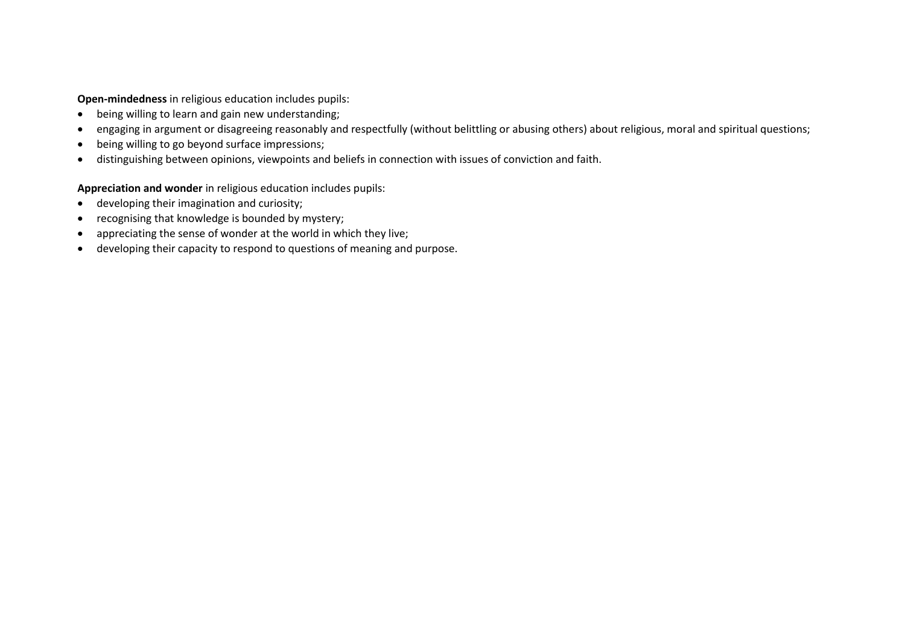**Open-mindedness** in religious education includes pupils:

- being willing to learn and gain new understanding;
- engaging in argument or disagreeing reasonably and respectfully (without belittling or abusing others) about religious, moral and spiritual questions;
- being willing to go beyond surface impressions;
- distinguishing between opinions, viewpoints and beliefs in connection with issues of conviction and faith.

**Appreciation and wonder** in religious education includes pupils:

- developing their imagination and curiosity;
- recognising that knowledge is bounded by mystery;
- appreciating the sense of wonder at the world in which they live;
- developing their capacity to respond to questions of meaning and purpose.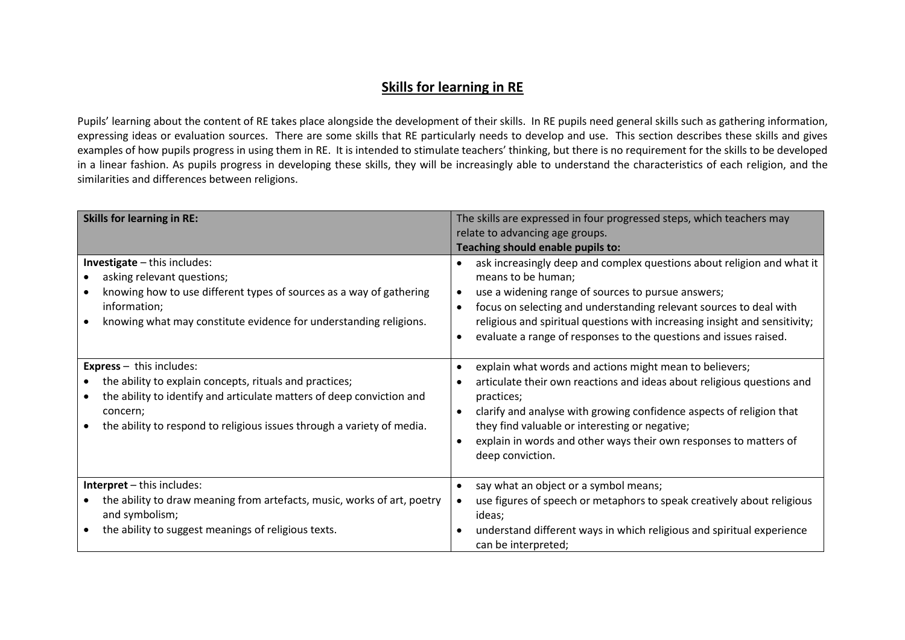### **Skills for learning in RE**

Pupils' learning about the content of RE takes place alongside the development of their skills. In RE pupils need general skills such as gathering information, expressing ideas or evaluation sources. There are some skills that RE particularly needs to develop and use. This section describes these skills and gives examples of how pupils progress in using them in RE. It is intended to stimulate teachers' thinking, but there is no requirement for the skills to be developed in a linear fashion. As pupils progress in developing these skills, they will be increasingly able to understand the characteristics of each religion, and the similarities and differences between religions.

| <b>Skills for learning in RE:</b>                                                                                                                                                                                                                           | The skills are expressed in four progressed steps, which teachers may<br>relate to advancing age groups.<br>Teaching should enable pupils to:                                                                                                                                                                                                                               |
|-------------------------------------------------------------------------------------------------------------------------------------------------------------------------------------------------------------------------------------------------------------|-----------------------------------------------------------------------------------------------------------------------------------------------------------------------------------------------------------------------------------------------------------------------------------------------------------------------------------------------------------------------------|
| Investigate - this includes:<br>asking relevant questions;<br>knowing how to use different types of sources as a way of gathering<br>information;<br>knowing what may constitute evidence for understanding religions.                                      | ask increasingly deep and complex questions about religion and what it<br>means to be human;<br>use a widening range of sources to pursue answers;<br>focus on selecting and understanding relevant sources to deal with<br>religious and spiritual questions with increasing insight and sensitivity;<br>evaluate a range of responses to the questions and issues raised. |
| <b>Express</b> $-$ this includes:<br>the ability to explain concepts, rituals and practices;<br>the ability to identify and articulate matters of deep conviction and<br>concern;<br>the ability to respond to religious issues through a variety of media. | explain what words and actions might mean to believers;<br>articulate their own reactions and ideas about religious questions and<br>practices;<br>clarify and analyse with growing confidence aspects of religion that<br>they find valuable or interesting or negative;<br>explain in words and other ways their own responses to matters of<br>deep conviction.          |
| Interpret - this includes:<br>the ability to draw meaning from artefacts, music, works of art, poetry<br>and symbolism;<br>the ability to suggest meanings of religious texts.                                                                              | say what an object or a symbol means;<br>use figures of speech or metaphors to speak creatively about religious<br>ideas;<br>understand different ways in which religious and spiritual experience<br>can be interpreted;                                                                                                                                                   |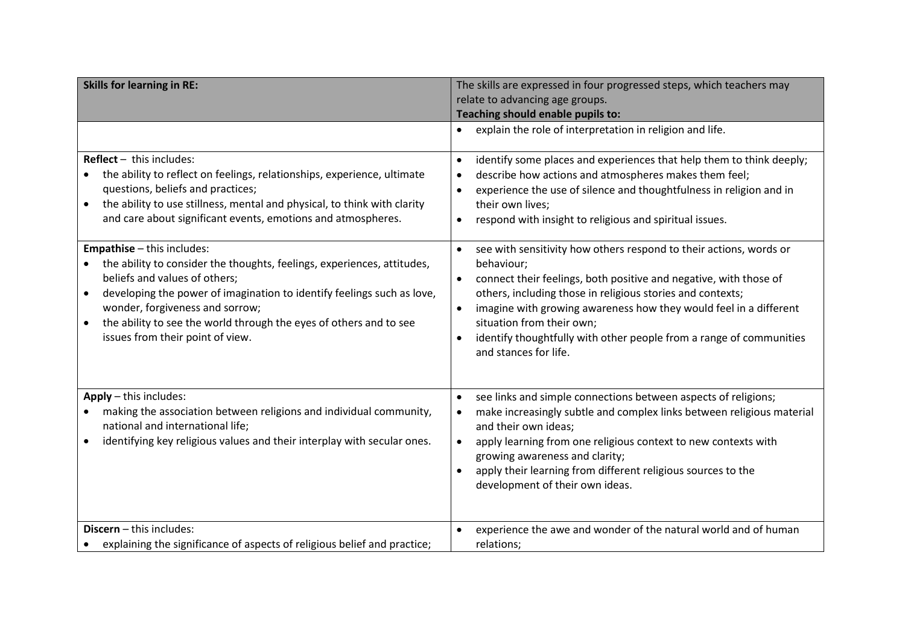| <b>Skills for learning in RE:</b>                                                                                                                                                                                                                                                                                                                         | The skills are expressed in four progressed steps, which teachers may<br>relate to advancing age groups.                                                                                                                                                                                                                                                                                              |  |  |  |  |
|-----------------------------------------------------------------------------------------------------------------------------------------------------------------------------------------------------------------------------------------------------------------------------------------------------------------------------------------------------------|-------------------------------------------------------------------------------------------------------------------------------------------------------------------------------------------------------------------------------------------------------------------------------------------------------------------------------------------------------------------------------------------------------|--|--|--|--|
|                                                                                                                                                                                                                                                                                                                                                           | Teaching should enable pupils to:                                                                                                                                                                                                                                                                                                                                                                     |  |  |  |  |
|                                                                                                                                                                                                                                                                                                                                                           | explain the role of interpretation in religion and life.<br>$\bullet$                                                                                                                                                                                                                                                                                                                                 |  |  |  |  |
| $Reflect - this includes:$<br>the ability to reflect on feelings, relationships, experience, ultimate<br>questions, beliefs and practices;<br>the ability to use stillness, mental and physical, to think with clarity<br>$\bullet$<br>and care about significant events, emotions and atmospheres.<br><b>Empathise</b> - this includes:                  | identify some places and experiences that help them to think deeply;<br>$\bullet$<br>describe how actions and atmospheres makes them feel;<br>experience the use of silence and thoughtfulness in religion and in<br>their own lives;<br>respond with insight to religious and spiritual issues.<br>$\bullet$<br>see with sensitivity how others respond to their actions, words or<br>$\bullet$      |  |  |  |  |
| the ability to consider the thoughts, feelings, experiences, attitudes,<br>beliefs and values of others;<br>developing the power of imagination to identify feelings such as love,<br>$\bullet$<br>wonder, forgiveness and sorrow;<br>the ability to see the world through the eyes of others and to see<br>$\bullet$<br>issues from their point of view. | behaviour;<br>connect their feelings, both positive and negative, with those of<br>others, including those in religious stories and contexts;<br>imagine with growing awareness how they would feel in a different<br>$\bullet$<br>situation from their own;<br>identify thoughtfully with other people from a range of communities<br>and stances for life.                                          |  |  |  |  |
| Apply - this includes:<br>making the association between religions and individual community,<br>national and international life;<br>identifying key religious values and their interplay with secular ones.<br>$\bullet$                                                                                                                                  | see links and simple connections between aspects of religions;<br>$\bullet$<br>make increasingly subtle and complex links between religious material<br>٠<br>and their own ideas;<br>apply learning from one religious context to new contexts with<br>$\bullet$<br>growing awareness and clarity;<br>apply their learning from different religious sources to the<br>development of their own ideas. |  |  |  |  |
| Discern - this includes:<br>explaining the significance of aspects of religious belief and practice;                                                                                                                                                                                                                                                      | experience the awe and wonder of the natural world and of human<br>relations;                                                                                                                                                                                                                                                                                                                         |  |  |  |  |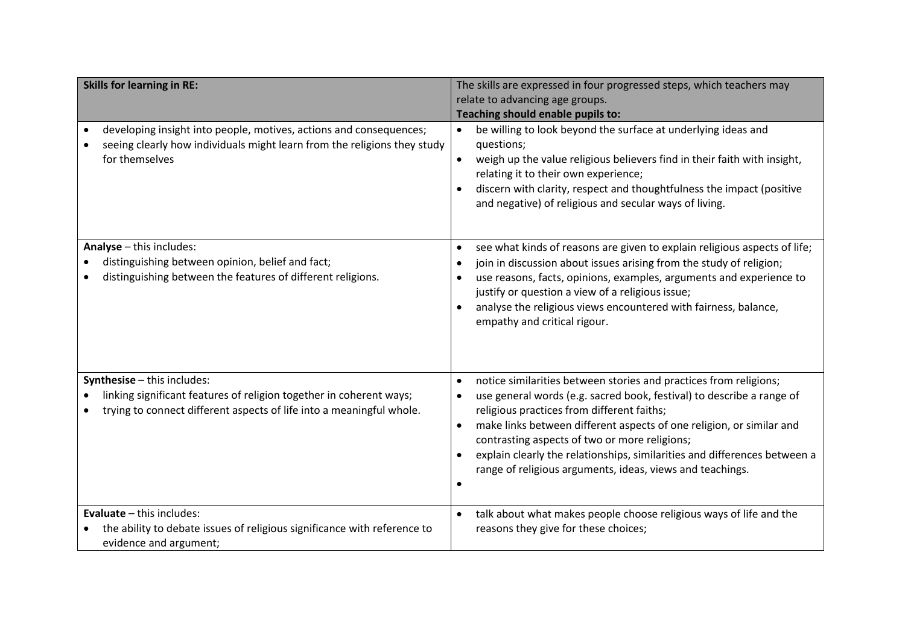| <b>Skills for learning in RE:</b>                                                                                                                                             | The skills are expressed in four progressed steps, which teachers may<br>relate to advancing age groups.<br>Teaching should enable pupils to:                                                                                                                                                                                                                                                                                                                            |
|-------------------------------------------------------------------------------------------------------------------------------------------------------------------------------|--------------------------------------------------------------------------------------------------------------------------------------------------------------------------------------------------------------------------------------------------------------------------------------------------------------------------------------------------------------------------------------------------------------------------------------------------------------------------|
| developing insight into people, motives, actions and consequences;<br>$\bullet$<br>seeing clearly how individuals might learn from the religions they study<br>for themselves | be willing to look beyond the surface at underlying ideas and<br>questions;<br>weigh up the value religious believers find in their faith with insight,<br>relating it to their own experience;<br>discern with clarity, respect and thoughtfulness the impact (positive<br>and negative) of religious and secular ways of living.                                                                                                                                       |
| Analyse - this includes:<br>distinguishing between opinion, belief and fact;<br>distinguishing between the features of different religions.                                   | see what kinds of reasons are given to explain religious aspects of life;<br>$\bullet$<br>join in discussion about issues arising from the study of religion;<br>use reasons, facts, opinions, examples, arguments and experience to<br>justify or question a view of a religious issue;<br>analyse the religious views encountered with fairness, balance,<br>empathy and critical rigour.                                                                              |
| Synthesise - this includes:<br>linking significant features of religion together in coherent ways;<br>trying to connect different aspects of life into a meaningful whole.    | notice similarities between stories and practices from religions;<br>$\bullet$<br>use general words (e.g. sacred book, festival) to describe a range of<br>religious practices from different faiths;<br>make links between different aspects of one religion, or similar and<br>contrasting aspects of two or more religions;<br>explain clearly the relationships, similarities and differences between a<br>range of religious arguments, ideas, views and teachings. |
| <b>Evaluate</b> $-$ this includes:<br>the ability to debate issues of religious significance with reference to<br>evidence and argument;                                      | talk about what makes people choose religious ways of life and the<br>$\bullet$<br>reasons they give for these choices;                                                                                                                                                                                                                                                                                                                                                  |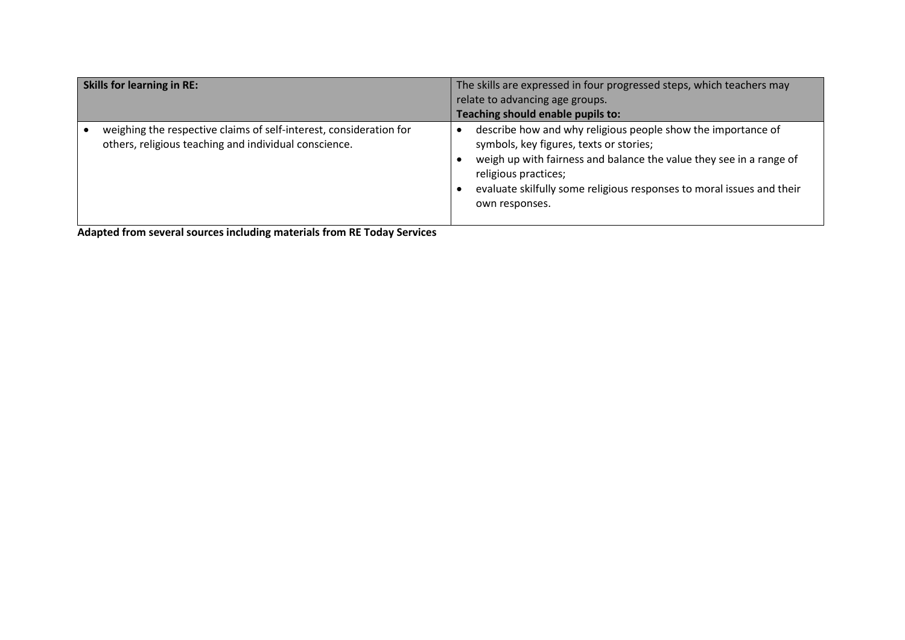| <b>Skills for learning in RE:</b>                                                                                           | The skills are expressed in four progressed steps, which teachers may<br>relate to advancing age groups.<br>Teaching should enable pupils to:                                                                                                                                                     |
|-----------------------------------------------------------------------------------------------------------------------------|---------------------------------------------------------------------------------------------------------------------------------------------------------------------------------------------------------------------------------------------------------------------------------------------------|
| weighing the respective claims of self-interest, consideration for<br>others, religious teaching and individual conscience. | describe how and why religious people show the importance of<br>symbols, key figures, texts or stories;<br>weigh up with fairness and balance the value they see in a range of<br>religious practices;<br>evaluate skilfully some religious responses to moral issues and their<br>own responses. |

**Adapted from several sources including materials from RE Today Services**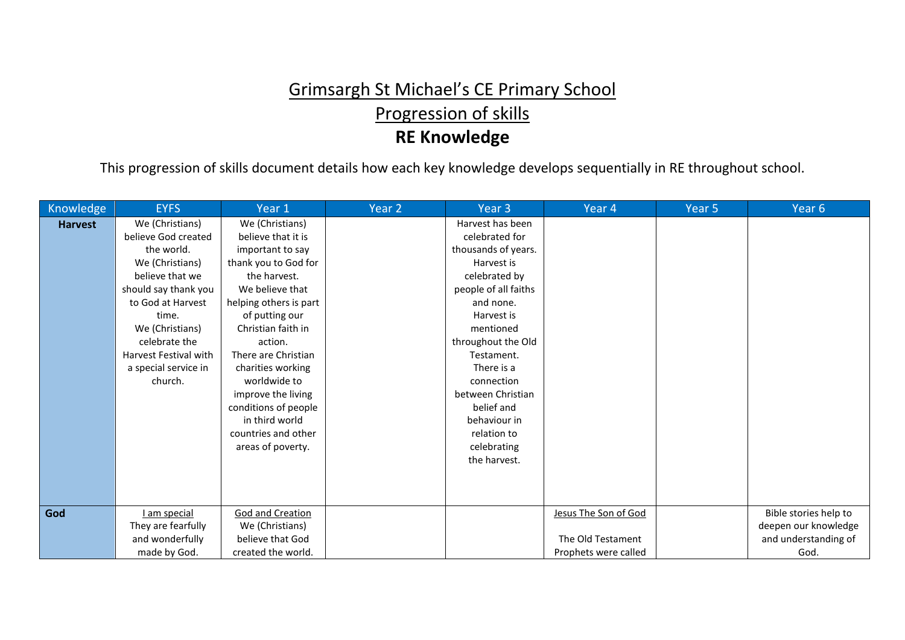# Grimsargh St Michael's CE Primary School Progression of skills **RE Knowledge**

This progression of skills document details how each key knowledge develops sequentially in RE throughout school.

| Knowledge      | <b>EYFS</b>                  | Year 1                  | Year 2 | Year 3               | Year 4               | Year 5 | Year 6                |
|----------------|------------------------------|-------------------------|--------|----------------------|----------------------|--------|-----------------------|
| <b>Harvest</b> | We (Christians)              | We (Christians)         |        | Harvest has been     |                      |        |                       |
|                | believe God created          | believe that it is      |        | celebrated for       |                      |        |                       |
|                | the world.                   | important to say        |        | thousands of years.  |                      |        |                       |
|                | We (Christians)              | thank you to God for    |        | Harvest is           |                      |        |                       |
|                | believe that we              | the harvest.            |        | celebrated by        |                      |        |                       |
|                | should say thank you         | We believe that         |        | people of all faiths |                      |        |                       |
|                | to God at Harvest            | helping others is part  |        | and none.            |                      |        |                       |
|                | time.                        | of putting our          |        | Harvest is           |                      |        |                       |
|                | We (Christians)              | Christian faith in      |        | mentioned            |                      |        |                       |
|                | celebrate the                | action.                 |        | throughout the Old   |                      |        |                       |
|                | <b>Harvest Festival with</b> | There are Christian     |        | Testament.           |                      |        |                       |
|                | a special service in         | charities working       |        | There is a           |                      |        |                       |
|                | church.                      | worldwide to            |        | connection           |                      |        |                       |
|                |                              | improve the living      |        | between Christian    |                      |        |                       |
|                |                              | conditions of people    |        | belief and           |                      |        |                       |
|                |                              | in third world          |        | behaviour in         |                      |        |                       |
|                |                              | countries and other     |        | relation to          |                      |        |                       |
|                |                              | areas of poverty.       |        | celebrating          |                      |        |                       |
|                |                              |                         |        | the harvest.         |                      |        |                       |
|                |                              |                         |        |                      |                      |        |                       |
|                |                              |                         |        |                      |                      |        |                       |
|                |                              |                         |        |                      |                      |        |                       |
| God            | I am special                 | <b>God and Creation</b> |        |                      | Jesus The Son of God |        | Bible stories help to |
|                | They are fearfully           | We (Christians)         |        |                      |                      |        | deepen our knowledge  |
|                | and wonderfully              | believe that God        |        |                      | The Old Testament    |        | and understanding of  |
|                | made by God.                 | created the world.      |        |                      | Prophets were called |        | God.                  |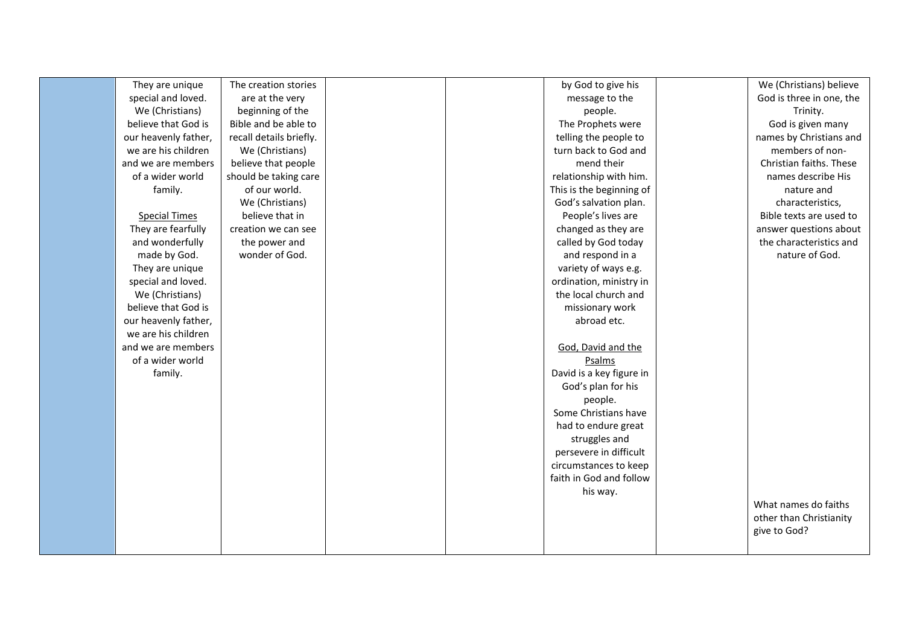| They are unique      | The creation stories    |  | by God to give his       | We (Christians) believe  |
|----------------------|-------------------------|--|--------------------------|--------------------------|
| special and loved.   | are at the very         |  | message to the           | God is three in one, the |
| We (Christians)      | beginning of the        |  | people.                  | Trinity.                 |
| believe that God is  | Bible and be able to    |  | The Prophets were        | God is given many        |
| our heavenly father, | recall details briefly. |  | telling the people to    | names by Christians and  |
| we are his children  | We (Christians)         |  | turn back to God and     | members of non-          |
| and we are members   | believe that people     |  | mend their               | Christian faiths. These  |
| of a wider world     | should be taking care   |  | relationship with him.   | names describe His       |
| family.              | of our world.           |  | This is the beginning of | nature and               |
|                      | We (Christians)         |  | God's salvation plan.    | characteristics,         |
| <b>Special Times</b> | believe that in         |  | People's lives are       | Bible texts are used to  |
| They are fearfully   | creation we can see     |  | changed as they are      | answer questions about   |
| and wonderfully      | the power and           |  | called by God today      | the characteristics and  |
| made by God.         | wonder of God.          |  | and respond in a         | nature of God.           |
| They are unique      |                         |  | variety of ways e.g.     |                          |
| special and loved.   |                         |  | ordination, ministry in  |                          |
| We (Christians)      |                         |  | the local church and     |                          |
| believe that God is  |                         |  | missionary work          |                          |
| our heavenly father, |                         |  | abroad etc.              |                          |
| we are his children  |                         |  |                          |                          |
| and we are members   |                         |  | God, David and the       |                          |
| of a wider world     |                         |  | Psalms                   |                          |
| family.              |                         |  | David is a key figure in |                          |
|                      |                         |  | God's plan for his       |                          |
|                      |                         |  | people.                  |                          |
|                      |                         |  | Some Christians have     |                          |
|                      |                         |  | had to endure great      |                          |
|                      |                         |  | struggles and            |                          |
|                      |                         |  | persevere in difficult   |                          |
|                      |                         |  | circumstances to keep    |                          |
|                      |                         |  | faith in God and follow  |                          |
|                      |                         |  | his way.                 |                          |
|                      |                         |  |                          | What names do faiths     |
|                      |                         |  |                          | other than Christianity  |
|                      |                         |  |                          | give to God?             |
|                      |                         |  |                          |                          |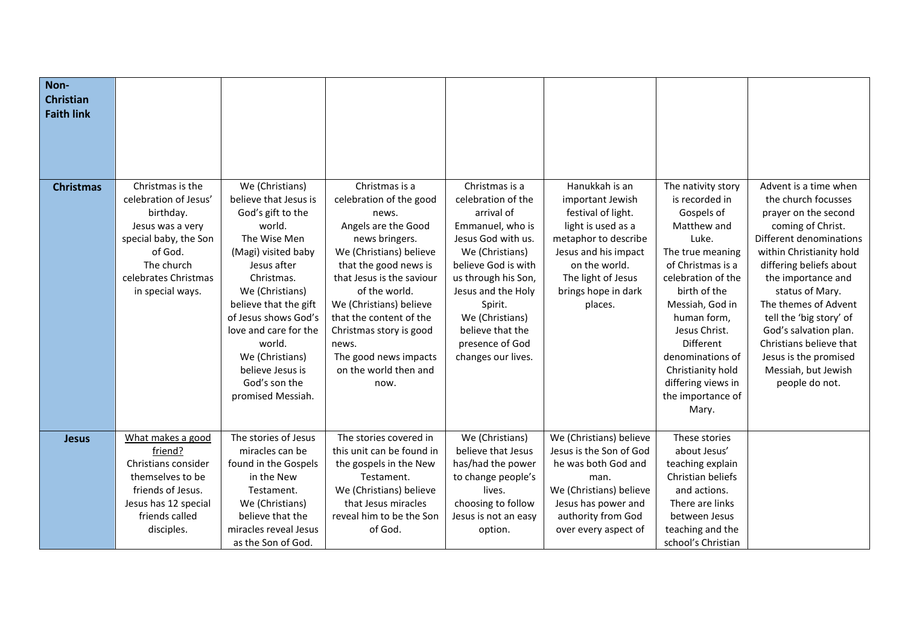| Non-<br><b>Christian</b><br><b>Faith link</b> |                                                                                                                                                                          |                                                                                                                                                                                                                                                                                                                                 |                                                                                                                                                                                                                                                                                                                                                   |                                                                                                                                                                                                                                                                                |                                                                                                                                                                                                         |                                                                                                                                                                                                                                                                                                                               |                                                                                                                                                                                                                                                                                                                                                                                               |
|-----------------------------------------------|--------------------------------------------------------------------------------------------------------------------------------------------------------------------------|---------------------------------------------------------------------------------------------------------------------------------------------------------------------------------------------------------------------------------------------------------------------------------------------------------------------------------|---------------------------------------------------------------------------------------------------------------------------------------------------------------------------------------------------------------------------------------------------------------------------------------------------------------------------------------------------|--------------------------------------------------------------------------------------------------------------------------------------------------------------------------------------------------------------------------------------------------------------------------------|---------------------------------------------------------------------------------------------------------------------------------------------------------------------------------------------------------|-------------------------------------------------------------------------------------------------------------------------------------------------------------------------------------------------------------------------------------------------------------------------------------------------------------------------------|-----------------------------------------------------------------------------------------------------------------------------------------------------------------------------------------------------------------------------------------------------------------------------------------------------------------------------------------------------------------------------------------------|
| <b>Christmas</b>                              | Christmas is the<br>celebration of Jesus'<br>birthday.<br>Jesus was a very<br>special baby, the Son<br>of God.<br>The church<br>celebrates Christmas<br>in special ways. | We (Christians)<br>believe that Jesus is<br>God's gift to the<br>world.<br>The Wise Men<br>(Magi) visited baby<br>Jesus after<br>Christmas.<br>We (Christians)<br>believe that the gift<br>of Jesus shows God's<br>love and care for the<br>world.<br>We (Christians)<br>believe Jesus is<br>God's son the<br>promised Messiah. | Christmas is a<br>celebration of the good<br>news.<br>Angels are the Good<br>news bringers.<br>We (Christians) believe<br>that the good news is<br>that Jesus is the saviour<br>of the world.<br>We (Christians) believe<br>that the content of the<br>Christmas story is good<br>news.<br>The good news impacts<br>on the world then and<br>now. | Christmas is a<br>celebration of the<br>arrival of<br>Emmanuel, who is<br>Jesus God with us.<br>We (Christians)<br>believe God is with<br>us through his Son,<br>Jesus and the Holy<br>Spirit.<br>We (Christians)<br>believe that the<br>presence of God<br>changes our lives. | Hanukkah is an<br>important Jewish<br>festival of light.<br>light is used as a<br>metaphor to describe<br>Jesus and his impact<br>on the world.<br>The light of Jesus<br>brings hope in dark<br>places. | The nativity story<br>is recorded in<br>Gospels of<br>Matthew and<br>Luke.<br>The true meaning<br>of Christmas is a<br>celebration of the<br>birth of the<br>Messiah, God in<br>human form,<br>Jesus Christ.<br><b>Different</b><br>denominations of<br>Christianity hold<br>differing views in<br>the importance of<br>Mary. | Advent is a time when<br>the church focusses<br>prayer on the second<br>coming of Christ.<br>Different denominations<br>within Christianity hold<br>differing beliefs about<br>the importance and<br>status of Mary.<br>The themes of Advent<br>tell the 'big story' of<br>God's salvation plan.<br>Christians believe that<br>Jesus is the promised<br>Messiah, but Jewish<br>people do not. |
| <b>Jesus</b>                                  | What makes a good<br>friend?<br>Christians consider<br>themselves to be<br>friends of Jesus.<br>Jesus has 12 special<br>friends called<br>disciples.                     | The stories of Jesus<br>miracles can be<br>found in the Gospels<br>in the New<br>Testament.<br>We (Christians)<br>believe that the<br>miracles reveal Jesus<br>as the Son of God.                                                                                                                                               | The stories covered in<br>this unit can be found in<br>the gospels in the New<br>Testament.<br>We (Christians) believe<br>that Jesus miracles<br>reveal him to be the Son<br>of God.                                                                                                                                                              | We (Christians)<br>believe that Jesus<br>has/had the power<br>to change people's<br>lives.<br>choosing to follow<br>Jesus is not an easy<br>option.                                                                                                                            | We (Christians) believe<br>Jesus is the Son of God<br>he was both God and<br>man.<br>We (Christians) believe<br>Jesus has power and<br>authority from God<br>over every aspect of                       | These stories<br>about Jesus'<br>teaching explain<br>Christian beliefs<br>and actions.<br>There are links<br>between Jesus<br>teaching and the<br>school's Christian                                                                                                                                                          |                                                                                                                                                                                                                                                                                                                                                                                               |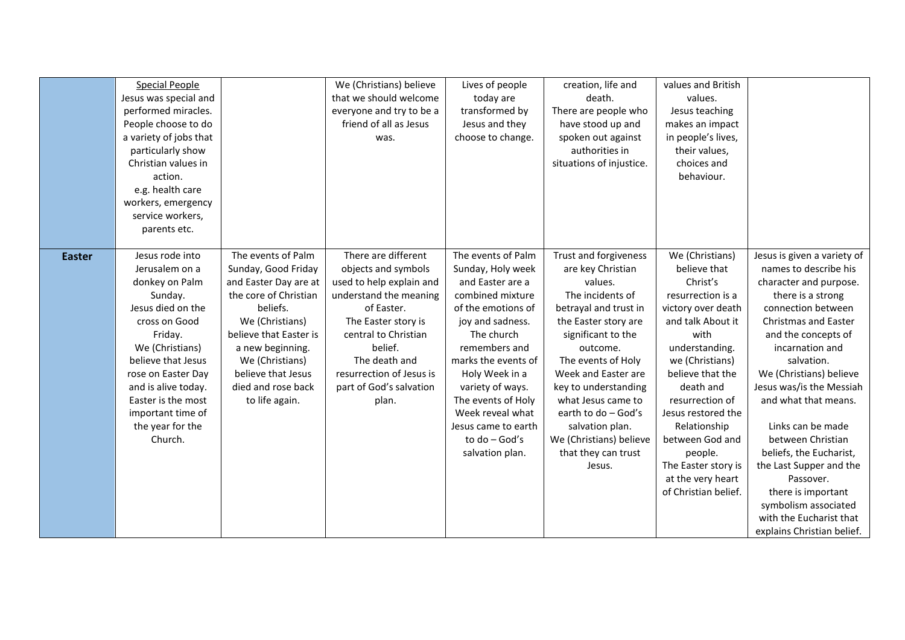|               | <b>Special People</b><br>Jesus was special and<br>performed miracles.<br>People choose to do<br>a variety of jobs that<br>particularly show<br>Christian values in<br>action.<br>e.g. health care                                                                               |                                                                                                                                                                                                                                                           | We (Christians) believe<br>that we should welcome<br>everyone and try to be a<br>friend of all as Jesus<br>was.                                                                                                                                           | Lives of people<br>today are<br>transformed by<br>Jesus and they<br>choose to change.                                                                                                                                                                                                                                      | creation, life and<br>death.<br>There are people who<br>have stood up and<br>spoken out against<br>authorities in<br>situations of injustice.                                                                                                                                                                                                                 | values and British<br>values.<br>Jesus teaching<br>makes an impact<br>in people's lives,<br>their values,<br>choices and<br>behaviour.                                                                                                                                                                                                               |                                                                                                                                                                                                                                                                                                                                                                                                                                                                                                                     |
|---------------|---------------------------------------------------------------------------------------------------------------------------------------------------------------------------------------------------------------------------------------------------------------------------------|-----------------------------------------------------------------------------------------------------------------------------------------------------------------------------------------------------------------------------------------------------------|-----------------------------------------------------------------------------------------------------------------------------------------------------------------------------------------------------------------------------------------------------------|----------------------------------------------------------------------------------------------------------------------------------------------------------------------------------------------------------------------------------------------------------------------------------------------------------------------------|---------------------------------------------------------------------------------------------------------------------------------------------------------------------------------------------------------------------------------------------------------------------------------------------------------------------------------------------------------------|------------------------------------------------------------------------------------------------------------------------------------------------------------------------------------------------------------------------------------------------------------------------------------------------------------------------------------------------------|---------------------------------------------------------------------------------------------------------------------------------------------------------------------------------------------------------------------------------------------------------------------------------------------------------------------------------------------------------------------------------------------------------------------------------------------------------------------------------------------------------------------|
|               | workers, emergency<br>service workers,<br>parents etc.                                                                                                                                                                                                                          |                                                                                                                                                                                                                                                           |                                                                                                                                                                                                                                                           |                                                                                                                                                                                                                                                                                                                            |                                                                                                                                                                                                                                                                                                                                                               |                                                                                                                                                                                                                                                                                                                                                      |                                                                                                                                                                                                                                                                                                                                                                                                                                                                                                                     |
| <b>Easter</b> | Jesus rode into<br>Jerusalem on a<br>donkey on Palm<br>Sunday.<br>Jesus died on the<br>cross on Good<br>Friday.<br>We (Christians)<br>believe that Jesus<br>rose on Easter Day<br>and is alive today.<br>Easter is the most<br>important time of<br>the year for the<br>Church. | The events of Palm<br>Sunday, Good Friday<br>and Easter Day are at<br>the core of Christian<br>beliefs.<br>We (Christians)<br>believe that Easter is<br>a new beginning.<br>We (Christians)<br>believe that Jesus<br>died and rose back<br>to life again. | There are different<br>objects and symbols<br>used to help explain and<br>understand the meaning<br>of Easter.<br>The Easter story is<br>central to Christian<br>belief.<br>The death and<br>resurrection of Jesus is<br>part of God's salvation<br>plan. | The events of Palm<br>Sunday, Holy week<br>and Easter are a<br>combined mixture<br>of the emotions of<br>joy and sadness.<br>The church<br>remembers and<br>marks the events of<br>Holy Week in a<br>variety of ways.<br>The events of Holy<br>Week reveal what<br>Jesus came to earth<br>to do - God's<br>salvation plan. | Trust and forgiveness<br>are key Christian<br>values.<br>The incidents of<br>betrayal and trust in<br>the Easter story are<br>significant to the<br>outcome.<br>The events of Holy<br>Week and Easter are<br>key to understanding<br>what Jesus came to<br>earth to do - God's<br>salvation plan.<br>We (Christians) believe<br>that they can trust<br>Jesus. | We (Christians)<br>believe that<br>Christ's<br>resurrection is a<br>victory over death<br>and talk About it<br>with<br>understanding.<br>we (Christians)<br>believe that the<br>death and<br>resurrection of<br>Jesus restored the<br>Relationship<br>between God and<br>people.<br>The Easter story is<br>at the very heart<br>of Christian belief. | Jesus is given a variety of<br>names to describe his<br>character and purpose.<br>there is a strong<br>connection between<br><b>Christmas and Easter</b><br>and the concepts of<br>incarnation and<br>salvation.<br>We (Christians) believe<br>Jesus was/is the Messiah<br>and what that means.<br>Links can be made<br>between Christian<br>beliefs, the Eucharist,<br>the Last Supper and the<br>Passover.<br>there is important<br>symbolism associated<br>with the Eucharist that<br>explains Christian belief. |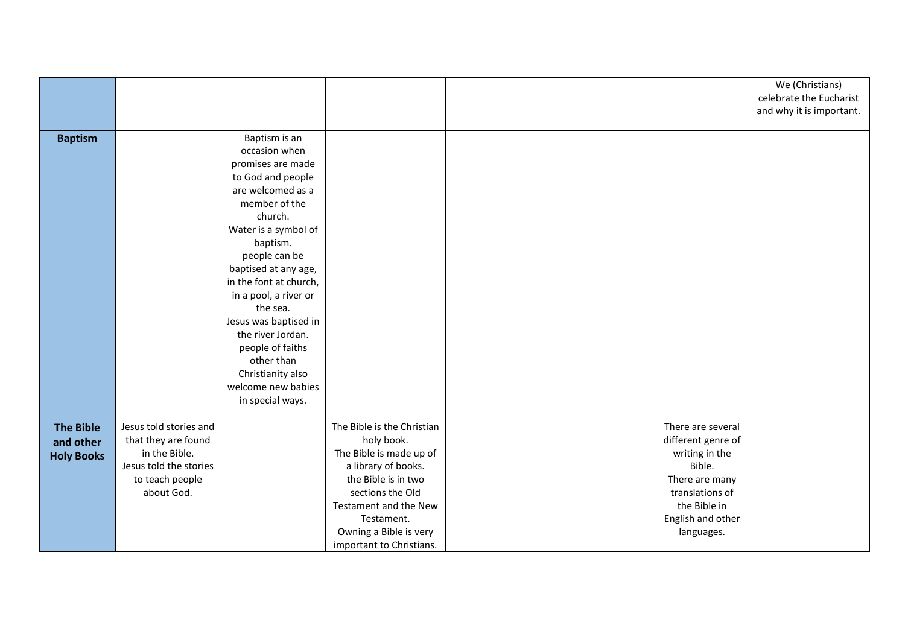|                   |                        |                        |                            |  |                    | We (Christians)<br>celebrate the Eucharist<br>and why it is important. |
|-------------------|------------------------|------------------------|----------------------------|--|--------------------|------------------------------------------------------------------------|
|                   |                        |                        |                            |  |                    |                                                                        |
| <b>Baptism</b>    |                        | Baptism is an          |                            |  |                    |                                                                        |
|                   |                        | occasion when          |                            |  |                    |                                                                        |
|                   |                        | promises are made      |                            |  |                    |                                                                        |
|                   |                        | to God and people      |                            |  |                    |                                                                        |
|                   |                        | are welcomed as a      |                            |  |                    |                                                                        |
|                   |                        | member of the          |                            |  |                    |                                                                        |
|                   |                        | church.                |                            |  |                    |                                                                        |
|                   |                        | Water is a symbol of   |                            |  |                    |                                                                        |
|                   |                        | baptism.               |                            |  |                    |                                                                        |
|                   |                        | people can be          |                            |  |                    |                                                                        |
|                   |                        | baptised at any age,   |                            |  |                    |                                                                        |
|                   |                        | in the font at church, |                            |  |                    |                                                                        |
|                   |                        | in a pool, a river or  |                            |  |                    |                                                                        |
|                   |                        | the sea.               |                            |  |                    |                                                                        |
|                   |                        | Jesus was baptised in  |                            |  |                    |                                                                        |
|                   |                        | the river Jordan.      |                            |  |                    |                                                                        |
|                   |                        | people of faiths       |                            |  |                    |                                                                        |
|                   |                        | other than             |                            |  |                    |                                                                        |
|                   |                        | Christianity also      |                            |  |                    |                                                                        |
|                   |                        | welcome new babies     |                            |  |                    |                                                                        |
|                   |                        | in special ways.       |                            |  |                    |                                                                        |
| <b>The Bible</b>  | Jesus told stories and |                        | The Bible is the Christian |  | There are several  |                                                                        |
| and other         | that they are found    |                        | holy book.                 |  | different genre of |                                                                        |
| <b>Holy Books</b> | in the Bible.          |                        | The Bible is made up of    |  | writing in the     |                                                                        |
|                   | Jesus told the stories |                        | a library of books.        |  | Bible.             |                                                                        |
|                   | to teach people        |                        | the Bible is in two        |  | There are many     |                                                                        |
|                   | about God.             |                        | sections the Old           |  | translations of    |                                                                        |
|                   |                        |                        | Testament and the New      |  | the Bible in       |                                                                        |
|                   |                        |                        | Testament.                 |  | English and other  |                                                                        |
|                   |                        |                        | Owning a Bible is very     |  | languages.         |                                                                        |
|                   |                        |                        | important to Christians.   |  |                    |                                                                        |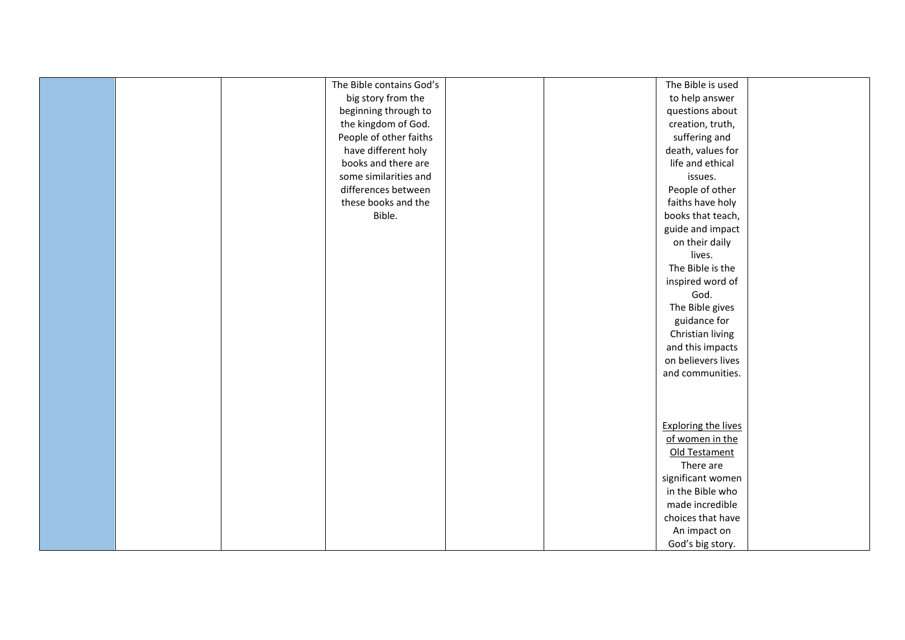|  | The Bible contains God's |  | The Bible is used          |  |
|--|--------------------------|--|----------------------------|--|
|  | big story from the       |  | to help answer             |  |
|  | beginning through to     |  | questions about            |  |
|  | the kingdom of God.      |  | creation, truth,           |  |
|  | People of other faiths   |  | suffering and              |  |
|  | have different holy      |  | death, values for          |  |
|  | books and there are      |  | life and ethical           |  |
|  | some similarities and    |  | issues.                    |  |
|  | differences between      |  | People of other            |  |
|  | these books and the      |  | faiths have holy           |  |
|  | Bible.                   |  | books that teach,          |  |
|  |                          |  | guide and impact           |  |
|  |                          |  | on their daily             |  |
|  |                          |  | lives.                     |  |
|  |                          |  | The Bible is the           |  |
|  |                          |  | inspired word of           |  |
|  |                          |  | God.                       |  |
|  |                          |  | The Bible gives            |  |
|  |                          |  | guidance for               |  |
|  |                          |  | Christian living           |  |
|  |                          |  | and this impacts           |  |
|  |                          |  | on believers lives         |  |
|  |                          |  | and communities.           |  |
|  |                          |  |                            |  |
|  |                          |  |                            |  |
|  |                          |  |                            |  |
|  |                          |  | <b>Exploring the lives</b> |  |
|  |                          |  | of women in the            |  |
|  |                          |  | Old Testament              |  |
|  |                          |  | There are                  |  |
|  |                          |  | significant women          |  |
|  |                          |  | in the Bible who           |  |
|  |                          |  | made incredible            |  |
|  |                          |  | choices that have          |  |
|  |                          |  | An impact on               |  |
|  |                          |  | God's big story.           |  |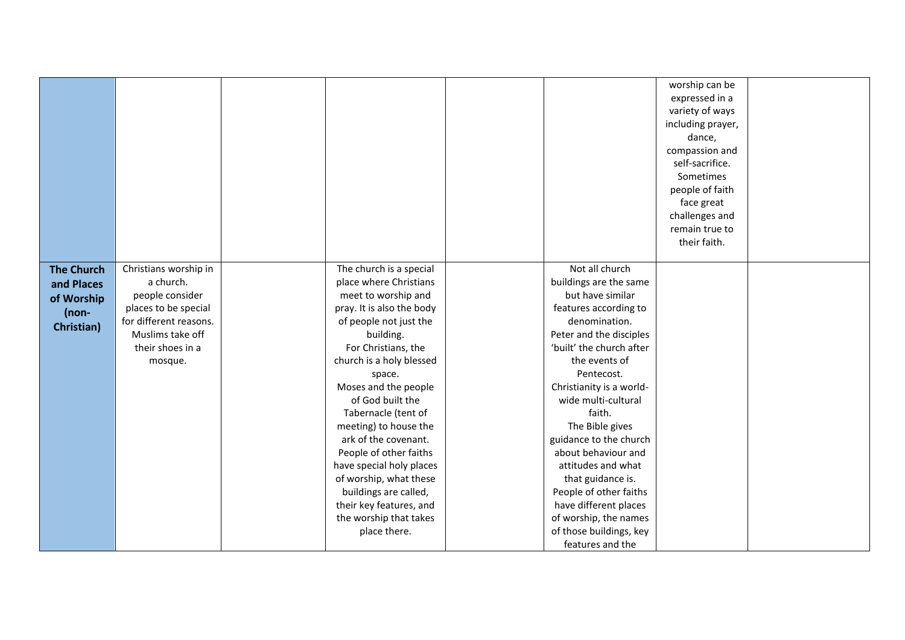|                                                                        |                                                                                                                                                            |                                                                                                                                                                                                                                                                                                | Not all church                                                                                                                                                                                                                                                                  | worship can be<br>expressed in a<br>variety of ways<br>including prayer,<br>dance,<br>compassion and<br>self-sacrifice.<br>Sometimes<br>people of faith<br>face great<br>challenges and<br>remain true to<br>their faith. |  |
|------------------------------------------------------------------------|------------------------------------------------------------------------------------------------------------------------------------------------------------|------------------------------------------------------------------------------------------------------------------------------------------------------------------------------------------------------------------------------------------------------------------------------------------------|---------------------------------------------------------------------------------------------------------------------------------------------------------------------------------------------------------------------------------------------------------------------------------|---------------------------------------------------------------------------------------------------------------------------------------------------------------------------------------------------------------------------|--|
| <b>The Church</b><br>and Places<br>of Worship<br>$(non-$<br>Christian) | Christians worship in<br>a church.<br>people consider<br>places to be special<br>for different reasons.<br>Muslims take off<br>their shoes in a<br>mosque. | The church is a special<br>place where Christians<br>meet to worship and<br>pray. It is also the body<br>of people not just the<br>building.<br>For Christians, the<br>church is a holy blessed<br>space.                                                                                      | buildings are the same<br>but have similar<br>features according to<br>denomination.<br>Peter and the disciples<br>'built' the church after<br>the events of<br>Pentecost.                                                                                                      |                                                                                                                                                                                                                           |  |
|                                                                        |                                                                                                                                                            | Moses and the people<br>of God built the<br>Tabernacle (tent of<br>meeting) to house the<br>ark of the covenant.<br>People of other faiths<br>have special holy places<br>of worship, what these<br>buildings are called,<br>their key features, and<br>the worship that takes<br>place there. | Christianity is a world-<br>wide multi-cultural<br>faith.<br>The Bible gives<br>guidance to the church<br>about behaviour and<br>attitudes and what<br>that guidance is.<br>People of other faiths<br>have different places<br>of worship, the names<br>of those buildings, key |                                                                                                                                                                                                                           |  |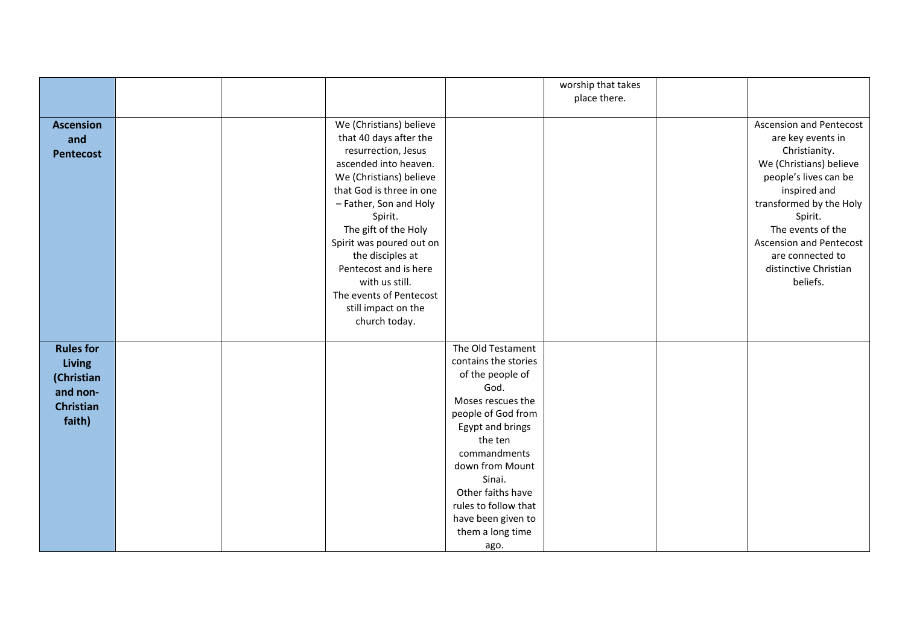|                  |  |                          |                             | worship that takes |                                |
|------------------|--|--------------------------|-----------------------------|--------------------|--------------------------------|
|                  |  |                          |                             | place there.       |                                |
|                  |  |                          |                             |                    |                                |
| <b>Ascension</b> |  | We (Christians) believe  |                             |                    | <b>Ascension and Pentecost</b> |
| and              |  | that 40 days after the   |                             |                    | are key events in              |
| <b>Pentecost</b> |  | resurrection, Jesus      |                             |                    | Christianity.                  |
|                  |  | ascended into heaven.    |                             |                    | We (Christians) believe        |
|                  |  | We (Christians) believe  |                             |                    | people's lives can be          |
|                  |  | that God is three in one |                             |                    | inspired and                   |
|                  |  | - Father, Son and Holy   |                             |                    | transformed by the Holy        |
|                  |  | Spirit.                  |                             |                    | Spirit.                        |
|                  |  | The gift of the Holy     |                             |                    | The events of the              |
|                  |  | Spirit was poured out on |                             |                    | <b>Ascension and Pentecost</b> |
|                  |  | the disciples at         |                             |                    | are connected to               |
|                  |  | Pentecost and is here    |                             |                    | distinctive Christian          |
|                  |  | with us still.           |                             |                    | beliefs.                       |
|                  |  | The events of Pentecost  |                             |                    |                                |
|                  |  | still impact on the      |                             |                    |                                |
|                  |  | church today.            |                             |                    |                                |
|                  |  |                          |                             |                    |                                |
| <b>Rules for</b> |  |                          | The Old Testament           |                    |                                |
| <b>Living</b>    |  |                          | contains the stories        |                    |                                |
| (Christian       |  |                          | of the people of            |                    |                                |
| and non-         |  |                          | God.                        |                    |                                |
| <b>Christian</b> |  |                          | Moses rescues the           |                    |                                |
| faith)           |  |                          | people of God from          |                    |                                |
|                  |  |                          | Egypt and brings<br>the ten |                    |                                |
|                  |  |                          | commandments                |                    |                                |
|                  |  |                          | down from Mount             |                    |                                |
|                  |  |                          | Sinai.                      |                    |                                |
|                  |  |                          | Other faiths have           |                    |                                |
|                  |  |                          | rules to follow that        |                    |                                |
|                  |  |                          | have been given to          |                    |                                |
|                  |  |                          | them a long time            |                    |                                |
|                  |  |                          | ago.                        |                    |                                |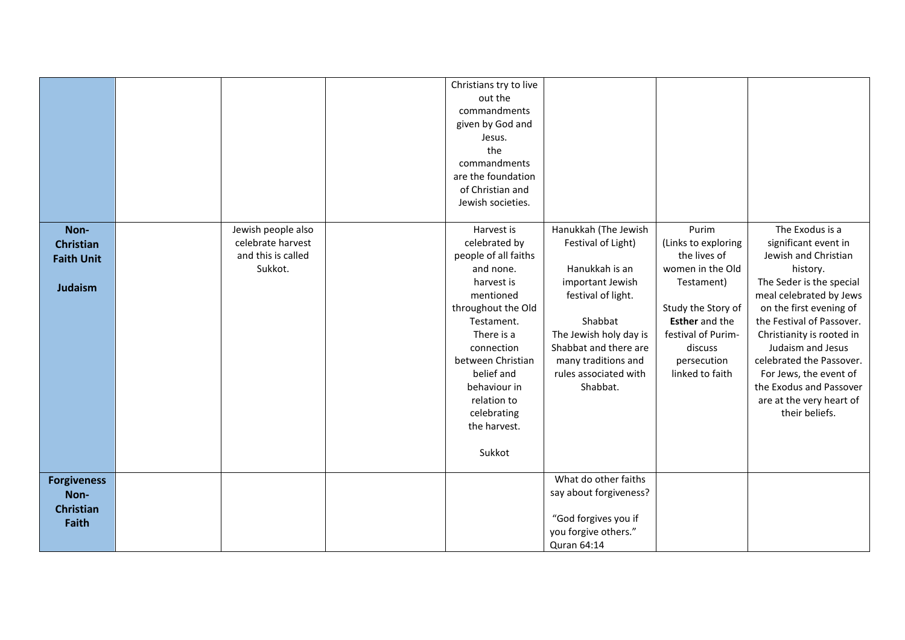|                                                                 |                                                                          | Christians try to live<br>out the<br>commandments<br>given by God and<br>Jesus.<br>the<br>commandments<br>are the foundation<br>of Christian and<br>Jewish societies.                                                                                                  |                                                                                                                                                                                                                                  |                                                                                                                                                                                                  |                                                                                                                                                                                                                                                                                                                                                                             |
|-----------------------------------------------------------------|--------------------------------------------------------------------------|------------------------------------------------------------------------------------------------------------------------------------------------------------------------------------------------------------------------------------------------------------------------|----------------------------------------------------------------------------------------------------------------------------------------------------------------------------------------------------------------------------------|--------------------------------------------------------------------------------------------------------------------------------------------------------------------------------------------------|-----------------------------------------------------------------------------------------------------------------------------------------------------------------------------------------------------------------------------------------------------------------------------------------------------------------------------------------------------------------------------|
| Non-<br><b>Christian</b><br><b>Faith Unit</b><br><b>Judaism</b> | Jewish people also<br>celebrate harvest<br>and this is called<br>Sukkot. | Harvest is<br>celebrated by<br>people of all faiths<br>and none.<br>harvest is<br>mentioned<br>throughout the Old<br>Testament.<br>There is a<br>connection<br>between Christian<br>belief and<br>behaviour in<br>relation to<br>celebrating<br>the harvest.<br>Sukkot | Hanukkah (The Jewish<br>Festival of Light)<br>Hanukkah is an<br>important Jewish<br>festival of light.<br>Shabbat<br>The Jewish holy day is<br>Shabbat and there are<br>many traditions and<br>rules associated with<br>Shabbat. | Purim<br>(Links to exploring<br>the lives of<br>women in the Old<br>Testament)<br>Study the Story of<br><b>Esther</b> and the<br>festival of Purim-<br>discuss<br>persecution<br>linked to faith | The Exodus is a<br>significant event in<br>Jewish and Christian<br>history.<br>The Seder is the special<br>meal celebrated by Jews<br>on the first evening of<br>the Festival of Passover.<br>Christianity is rooted in<br>Judaism and Jesus<br>celebrated the Passover.<br>For Jews, the event of<br>the Exodus and Passover<br>are at the very heart of<br>their beliefs. |
| <b>Forgiveness</b><br>Non-<br><b>Christian</b><br><b>Faith</b>  |                                                                          |                                                                                                                                                                                                                                                                        | What do other faiths<br>say about forgiveness?<br>"God forgives you if<br>you forgive others."<br>Quran 64:14                                                                                                                    |                                                                                                                                                                                                  |                                                                                                                                                                                                                                                                                                                                                                             |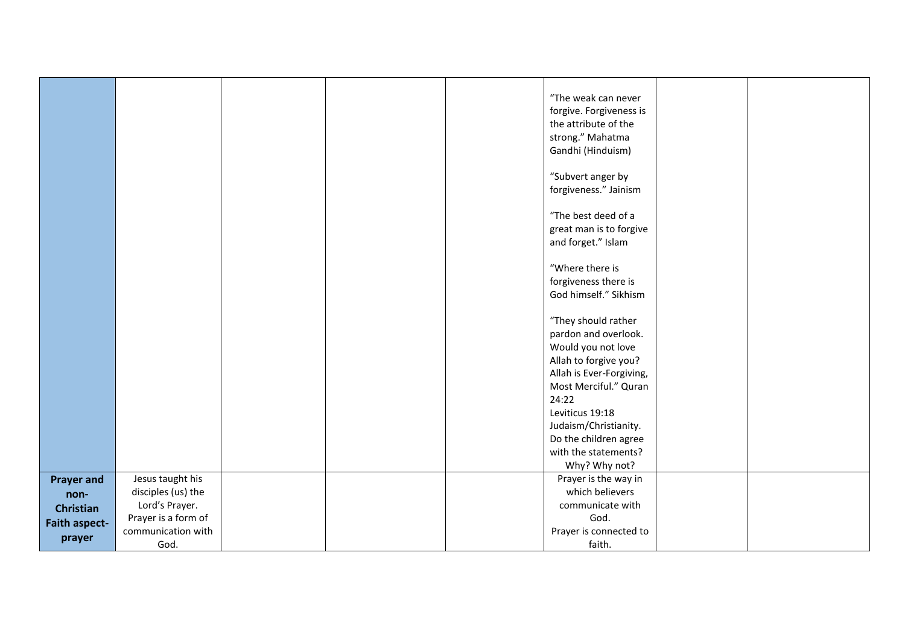|                      |                     |  | "The weak can never<br>forgive. Forgiveness is<br>the attribute of the<br>strong." Mahatma<br>Gandhi (Hinduism)<br>"Subvert anger by<br>forgiveness." Jainism<br>"The best deed of a<br>great man is to forgive<br>and forget." Islam<br>"Where there is<br>forgiveness there is<br>God himself." Sikhism<br>"They should rather<br>pardon and overlook.<br>Would you not love<br>Allah to forgive you? |  |
|----------------------|---------------------|--|---------------------------------------------------------------------------------------------------------------------------------------------------------------------------------------------------------------------------------------------------------------------------------------------------------------------------------------------------------------------------------------------------------|--|
|                      |                     |  | Allah is Ever-Forgiving,<br>Most Merciful." Quran<br>24:22                                                                                                                                                                                                                                                                                                                                              |  |
|                      |                     |  | Leviticus 19:18<br>Judaism/Christianity.                                                                                                                                                                                                                                                                                                                                                                |  |
|                      |                     |  | Do the children agree<br>with the statements?                                                                                                                                                                                                                                                                                                                                                           |  |
|                      |                     |  | Why? Why not?                                                                                                                                                                                                                                                                                                                                                                                           |  |
| <b>Prayer and</b>    | Jesus taught his    |  | Prayer is the way in                                                                                                                                                                                                                                                                                                                                                                                    |  |
| non-                 | disciples (us) the  |  | which believers                                                                                                                                                                                                                                                                                                                                                                                         |  |
| <b>Christian</b>     | Lord's Prayer.      |  | communicate with                                                                                                                                                                                                                                                                                                                                                                                        |  |
| <b>Faith aspect-</b> | Prayer is a form of |  | God.                                                                                                                                                                                                                                                                                                                                                                                                    |  |
| prayer               | communication with  |  | Prayer is connected to                                                                                                                                                                                                                                                                                                                                                                                  |  |
|                      | God.                |  | faith.                                                                                                                                                                                                                                                                                                                                                                                                  |  |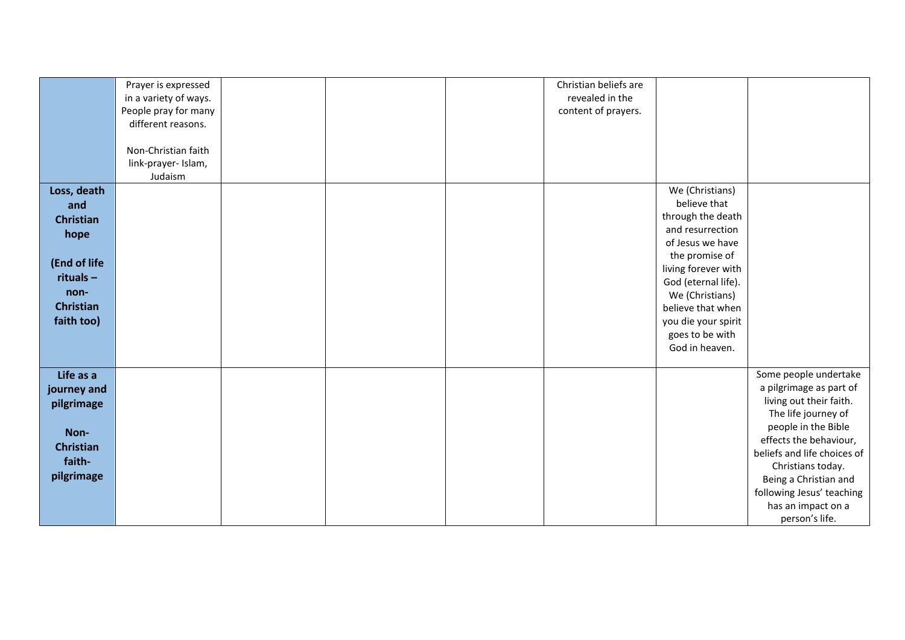|                  | Prayer is expressed   |  | Christian beliefs are |                                   |                                                    |
|------------------|-----------------------|--|-----------------------|-----------------------------------|----------------------------------------------------|
|                  | in a variety of ways. |  | revealed in the       |                                   |                                                    |
|                  | People pray for many  |  | content of prayers.   |                                   |                                                    |
|                  | different reasons.    |  |                       |                                   |                                                    |
|                  |                       |  |                       |                                   |                                                    |
|                  | Non-Christian faith   |  |                       |                                   |                                                    |
|                  | link-prayer- Islam,   |  |                       |                                   |                                                    |
|                  | Judaism               |  |                       |                                   |                                                    |
| Loss, death      |                       |  |                       | We (Christians)                   |                                                    |
|                  |                       |  |                       | believe that                      |                                                    |
| and              |                       |  |                       | through the death                 |                                                    |
| <b>Christian</b> |                       |  |                       | and resurrection                  |                                                    |
| hope             |                       |  |                       | of Jesus we have                  |                                                    |
|                  |                       |  |                       | the promise of                    |                                                    |
| (End of life     |                       |  |                       | living forever with               |                                                    |
| $rituals -$      |                       |  |                       | God (eternal life).               |                                                    |
| non-             |                       |  |                       | We (Christians)                   |                                                    |
| <b>Christian</b> |                       |  |                       | believe that when                 |                                                    |
| faith too)       |                       |  |                       |                                   |                                                    |
|                  |                       |  |                       | you die your spirit               |                                                    |
|                  |                       |  |                       | goes to be with<br>God in heaven. |                                                    |
|                  |                       |  |                       |                                   |                                                    |
| Life as a        |                       |  |                       |                                   | Some people undertake                              |
|                  |                       |  |                       |                                   |                                                    |
| journey and      |                       |  |                       |                                   | a pilgrimage as part of<br>living out their faith. |
| pilgrimage       |                       |  |                       |                                   |                                                    |
|                  |                       |  |                       |                                   | The life journey of<br>people in the Bible         |
| Non-             |                       |  |                       |                                   | effects the behaviour,                             |
| <b>Christian</b> |                       |  |                       |                                   | beliefs and life choices of                        |
| faith-           |                       |  |                       |                                   |                                                    |
| pilgrimage       |                       |  |                       |                                   | Christians today.                                  |
|                  |                       |  |                       |                                   | Being a Christian and                              |
|                  |                       |  |                       |                                   | following Jesus' teaching                          |
|                  |                       |  |                       |                                   | has an impact on a                                 |
|                  |                       |  |                       |                                   | person's life.                                     |